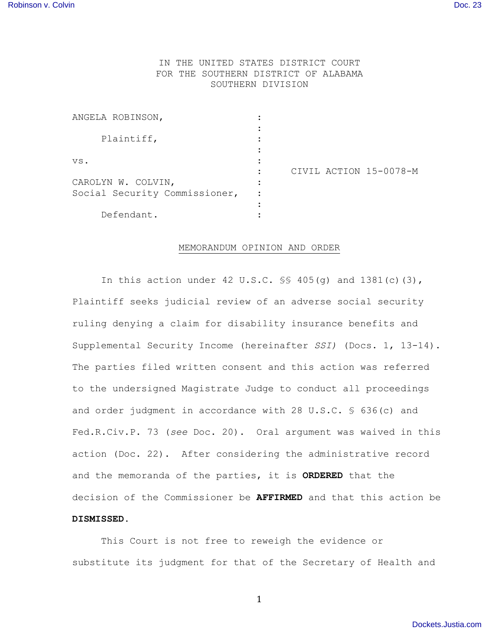## IN THE UNITED STATES DISTRICT COURT FOR THE SOUTHERN DISTRICT OF ALABAMA SOUTHERN DIVISION

| ANGELA ROBINSON,              |                        |  |
|-------------------------------|------------------------|--|
| Plaintiff,                    |                        |  |
| VS.                           |                        |  |
|                               | CIVIL ACTION 15-0078-M |  |
| CAROLYN W. COLVIN,            |                        |  |
| Social Security Commissioner, |                        |  |
|                               |                        |  |
| Defendant.                    |                        |  |

## MEMORANDUM OPINION AND ORDER

In this action under 42 U.S.C.  $\frac{1}{5}$  405(q) and 1381(c)(3), Plaintiff seeks judicial review of an adverse social security ruling denying a claim for disability insurance benefits and Supplemental Security Income (hereinafter *SSI)* (Docs. 1, 13-14). The parties filed written consent and this action was referred to the undersigned Magistrate Judge to conduct all proceedings and order judgment in accordance with 28 U.S.C. § 636(c) and Fed.R.Civ.P. 73 (*see* Doc. 20). Oral argument was waived in this action (Doc. 22). After considering the administrative record and the memoranda of the parties, it is **ORDERED** that the decision of the Commissioner be **AFFIRMED** and that this action be **DISMISSED**.

This Court is not free to reweigh the evidence or substitute its judgment for that of the Secretary of Health and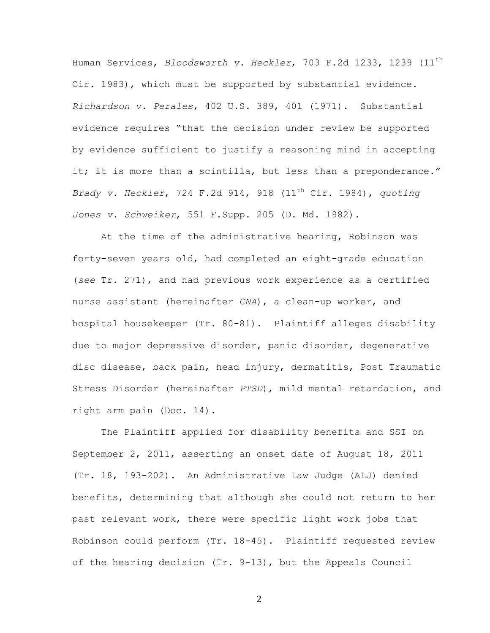Human Services, *Bloodsworth v. Heckler*, 703 F.2d 1233, 1239 (11th Cir. 1983), which must be supported by substantial evidence. *Richardson v. Perales*, 402 U.S. 389, 401 (1971). Substantial evidence requires "that the decision under review be supported by evidence sufficient to justify a reasoning mind in accepting it; it is more than a scintilla, but less than a preponderance." *Brady v. Heckler*, 724 F.2d 914, 918 (11th Cir. 1984), *quoting Jones v. Schweiker*, 551 F.Supp. 205 (D. Md. 1982).

At the time of the administrative hearing, Robinson was forty-seven years old, had completed an eight-grade education (*see* Tr. 271), and had previous work experience as a certified nurse assistant (hereinafter *CNA*), a clean-up worker, and hospital housekeeper (Tr. 80-81). Plaintiff alleges disability due to major depressive disorder, panic disorder, degenerative disc disease, back pain, head injury, dermatitis, Post Traumatic Stress Disorder (hereinafter *PTSD*), mild mental retardation, and right arm pain (Doc. 14).

The Plaintiff applied for disability benefits and SSI on September 2, 2011, asserting an onset date of August 18, 2011 (Tr. 18, 193-202). An Administrative Law Judge (ALJ) denied benefits, determining that although she could not return to her past relevant work, there were specific light work jobs that Robinson could perform (Tr. 18-45). Plaintiff requested review of the hearing decision (Tr. 9-13), but the Appeals Council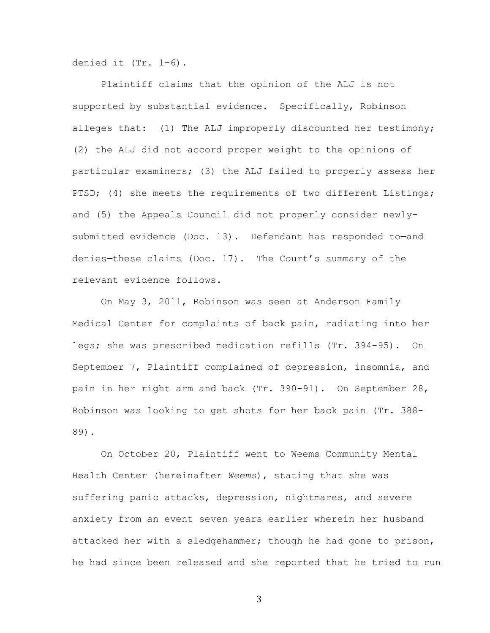denied it (Tr. 1-6).

Plaintiff claims that the opinion of the ALJ is not supported by substantial evidence. Specifically, Robinson alleges that: (1) The ALJ improperly discounted her testimony; (2) the ALJ did not accord proper weight to the opinions of particular examiners; (3) the ALJ failed to properly assess her PTSD; (4) she meets the requirements of two different Listings; and (5) the Appeals Council did not properly consider newlysubmitted evidence (Doc. 13). Defendant has responded to-and denies—these claims (Doc. 17). The Court's summary of the relevant evidence follows.

On May 3, 2011, Robinson was seen at Anderson Family Medical Center for complaints of back pain, radiating into her legs; she was prescribed medication refills (Tr. 394-95). On September 7, Plaintiff complained of depression, insomnia, and pain in her right arm and back (Tr. 390-91). On September 28, Robinson was looking to get shots for her back pain (Tr. 388- 89).

On October 20, Plaintiff went to Weems Community Mental Health Center (hereinafter *Weems*), stating that she was suffering panic attacks, depression, nightmares, and severe anxiety from an event seven years earlier wherein her husband attacked her with a sledgehammer; though he had gone to prison, he had since been released and she reported that he tried to run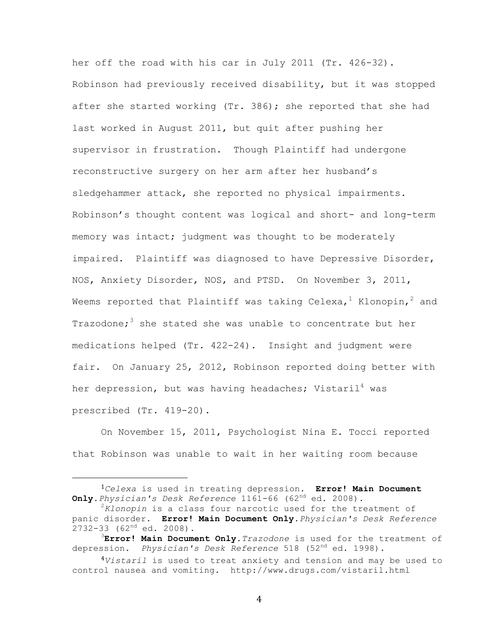her off the road with his car in July 2011 (Tr. 426-32). Robinson had previously received disability, but it was stopped after she started working (Tr. 386); she reported that she had last worked in August 2011, but quit after pushing her supervisor in frustration. Though Plaintiff had undergone reconstructive surgery on her arm after her husband's sledgehammer attack, she reported no physical impairments. Robinson's thought content was logical and short- and long-term memory was intact; judgment was thought to be moderately impaired. Plaintiff was diagnosed to have Depressive Disorder, NOS, Anxiety Disorder, NOS, and PTSD. On November 3, 2011, Weems reported that Plaintiff was taking Celexa,  $1$  Klonopin,  $2$  and Trazodone;<sup>3</sup> she stated she was unable to concentrate but her medications helped (Tr. 422-24). Insight and judgment were fair. On January 25, 2012, Robinson reported doing better with her depression, but was having headaches; Vistaril<sup>4</sup> was prescribed (Tr. 419-20).

On November 15, 2011, Psychologist Nina E. Tocci reported that Robinson was unable to wait in her waiting room because

 

<sup>1</sup>*Celexa* is used in treating depression. **Error! Main Document Only.***Physician's Desk Reference* 1161-66 (62nd ed. 2008). <sup>2</sup>

*Klonopin* is a class four narcotic used for the treatment of panic disorder. **Error! Main Document Only.***Physician's Desk Reference*  $2732-33$  (62<sup>nd</sup> ed. 2008).

**Error! Main Document Only.***Trazodone* is used for the treatment of depression. *Physician's Desk Reference* 518 (52nd ed. 1998).

<sup>4</sup>*Vistaril* is used to treat anxiety and tension and may be used to control nausea and vomiting. http://www.drugs.com/vistaril.html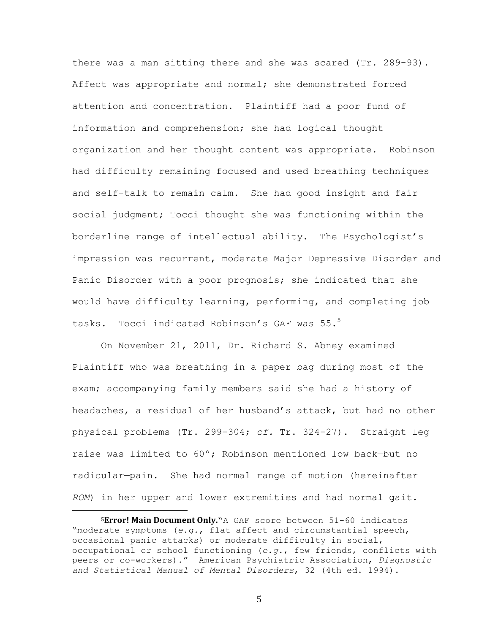there was a man sitting there and she was scared (Tr. 289-93). Affect was appropriate and normal; she demonstrated forced attention and concentration. Plaintiff had a poor fund of information and comprehension; she had logical thought organization and her thought content was appropriate. Robinson had difficulty remaining focused and used breathing techniques and self-talk to remain calm. She had good insight and fair social judgment; Tocci thought she was functioning within the borderline range of intellectual ability. The Psychologist's impression was recurrent, moderate Major Depressive Disorder and Panic Disorder with a poor prognosis; she indicated that she would have difficulty learning, performing, and completing job tasks. Tocci indicated Robinson's GAF was 55.<sup>5</sup>

On November 21, 2011, Dr. Richard S. Abney examined Plaintiff who was breathing in a paper bag during most of the exam; accompanying family members said she had a history of headaches, a residual of her husband's attack, but had no other physical problems (Tr. 299-304; *cf.* Tr. 324-27). Straight leg raise was limited to 60º; Robinson mentioned low back—but no radicular—pain. She had normal range of motion (hereinafter *ROM*) in her upper and lower extremities and had normal gait.

 

**<sup>5</sup>Error! Main Document Only.**"A GAF score between 51-60 indicates "moderate symptoms (*e.g.*, flat affect and circumstantial speech, occasional panic attacks) or moderate difficulty in social, occupational or school functioning (*e.g.*, few friends, conflicts with peers or co-workers)." American Psychiatric Association, *Diagnostic and Statistical Manual of Mental Disorders*, 32 (4th ed. 1994).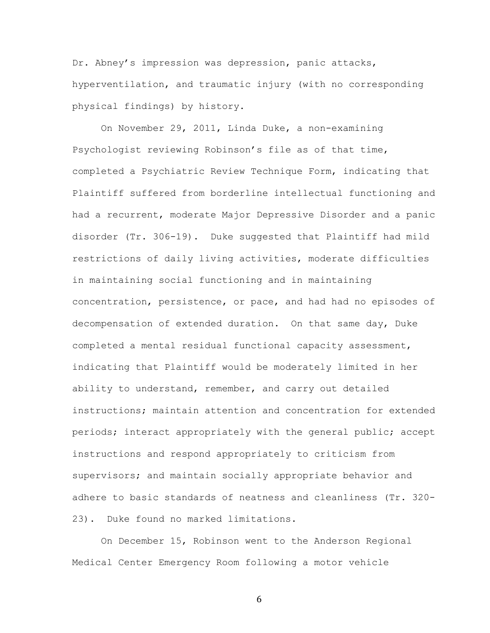Dr. Abney's impression was depression, panic attacks, hyperventilation, and traumatic injury (with no corresponding physical findings) by history.

On November 29, 2011, Linda Duke, a non-examining Psychologist reviewing Robinson's file as of that time, completed a Psychiatric Review Technique Form, indicating that Plaintiff suffered from borderline intellectual functioning and had a recurrent, moderate Major Depressive Disorder and a panic disorder (Tr. 306-19). Duke suggested that Plaintiff had mild restrictions of daily living activities, moderate difficulties in maintaining social functioning and in maintaining concentration, persistence, or pace, and had had no episodes of decompensation of extended duration. On that same day, Duke completed a mental residual functional capacity assessment, indicating that Plaintiff would be moderately limited in her ability to understand, remember, and carry out detailed instructions; maintain attention and concentration for extended periods; interact appropriately with the general public; accept instructions and respond appropriately to criticism from supervisors; and maintain socially appropriate behavior and adhere to basic standards of neatness and cleanliness (Tr. 320- 23). Duke found no marked limitations.

On December 15, Robinson went to the Anderson Regional Medical Center Emergency Room following a motor vehicle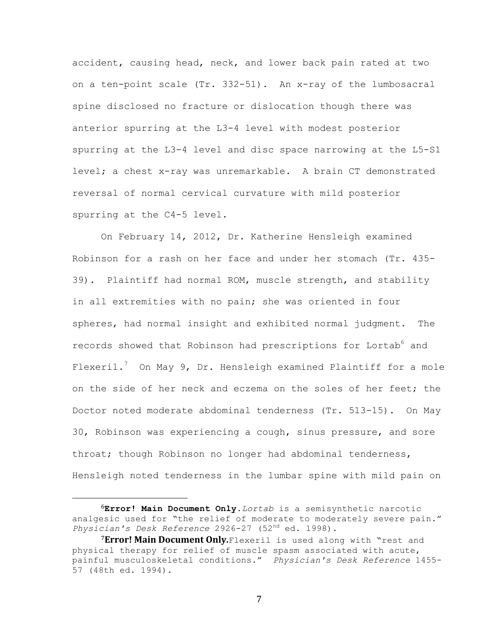accident, causing head, neck, and lower back pain rated at two on a ten-point scale (Tr. 332-51). An x-ray of the lumbosacral spine disclosed no fracture or dislocation though there was anterior spurring at the L3-4 level with modest posterior spurring at the L3-4 level and disc space narrowing at the L5-S1 level; a chest x-ray was unremarkable. A brain CT demonstrated reversal of normal cervical curvature with mild posterior spurring at the C4-5 level.

On February 14, 2012, Dr. Katherine Hensleigh examined Robinson for a rash on her face and under her stomach (Tr. 435- 39). Plaintiff had normal ROM, muscle strength, and stability in all extremities with no pain; she was oriented in four spheres, had normal insight and exhibited normal judgment. The records showed that Robinson had prescriptions for Lortab<sup>6</sup> and Flexeril.<sup>7</sup> On May 9, Dr. Hensleigh examined Plaintiff for a mole on the side of her neck and eczema on the soles of her feet; the Doctor noted moderate abdominal tenderness (Tr. 513-15). On May 30, Robinson was experiencing a cough, sinus pressure, and sore throat; though Robinson no longer had abdominal tenderness, Hensleigh noted tenderness in the lumbar spine with mild pain on

 

<sup>6</sup>**Error! Main Document Only.***Lortab* is a semisynthetic narcotic analgesic used for "the relief of moderate to moderately severe pain." *Physician's Desk Reference* 2926-27 (52nd ed. 1998).

<sup>7</sup>Error! Main Document Only.Flexeril is used along with "rest and physical therapy for relief of muscle spasm associated with acute, painful musculoskeletal conditions." *Physician's Desk Reference* 1455- 57 (48th ed. 1994).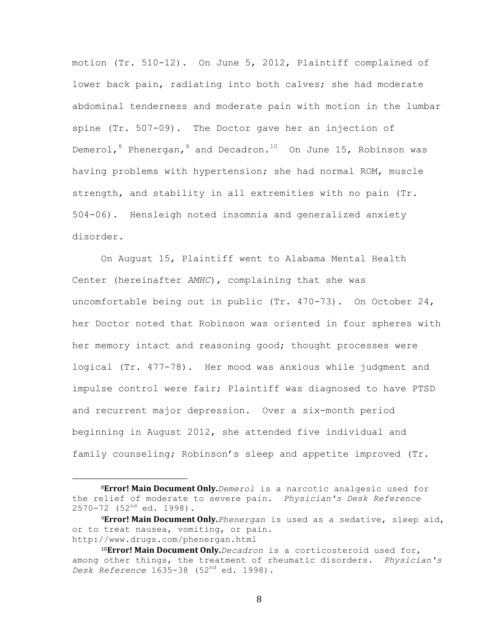motion (Tr. 510-12). On June 5, 2012, Plaintiff complained of lower back pain, radiating into both calves; she had moderate abdominal tenderness and moderate pain with motion in the lumbar spine (Tr. 507-09). The Doctor gave her an injection of Demerol,  $8$  Phenergan,  $9$  and Decadron.<sup>10</sup> On June 15, Robinson was having problems with hypertension; she had normal ROM, muscle strength, and stability in all extremities with no pain (Tr. 504-06). Hensleigh noted insomnia and generalized anxiety disorder.

On August 15, Plaintiff went to Alabama Mental Health Center (hereinafter *AMHC*), complaining that she was uncomfortable being out in public (Tr. 470-73). On October 24, her Doctor noted that Robinson was oriented in four spheres with her memory intact and reasoning good; thought processes were logical (Tr. 477-78). Her mood was anxious while judgment and impulse control were fair; Plaintiff was diagnosed to have PTSD and recurrent major depression. Over a six-month period beginning in August 2012, she attended five individual and family counseling; Robinson's sleep and appetite improved (Tr.

 

<sup>8</sup>**Error! Main Document Only.***Demerol* is a narcotic analgesic used for the relief of moderate to severe pain. *Physician's Desk Reference* 2570-72 (52<sup>nd</sup> ed. 1998).

<sup>9</sup>Error! Main Document Only. Phenergan is used as a sedative, sleep aid, or to treat nausea, vomiting, or pain. http://www.drugs.com/phenergan.html

<sup>10</sup>**Error! Main Document Only.**Decadron is a corticosteroid used for, among other things, the treatment of rheumatic disorders. *Physician's Desk Reference* 1635-38 (52nd ed. 1998).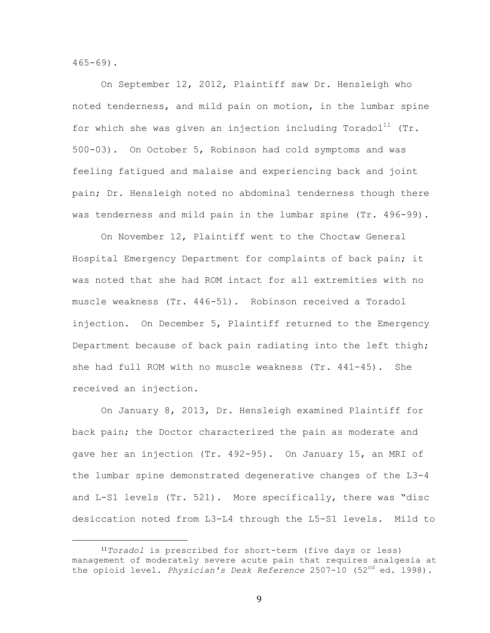$465 - 69$ ).

On September 12, 2012, Plaintiff saw Dr. Hensleigh who noted tenderness, and mild pain on motion, in the lumbar spine for which she was given an injection including Toradol<sup>11</sup> (Tr. 500-03). On October 5, Robinson had cold symptoms and was feeling fatigued and malaise and experiencing back and joint pain; Dr. Hensleigh noted no abdominal tenderness though there was tenderness and mild pain in the lumbar spine (Tr. 496-99).

On November 12, Plaintiff went to the Choctaw General Hospital Emergency Department for complaints of back pain; it was noted that she had ROM intact for all extremities with no muscle weakness (Tr. 446-51). Robinson received a Toradol injection. On December 5, Plaintiff returned to the Emergency Department because of back pain radiating into the left thigh; she had full ROM with no muscle weakness (Tr. 441-45). She received an injection.

On January 8, 2013, Dr. Hensleigh examined Plaintiff for back pain; the Doctor characterized the pain as moderate and gave her an injection (Tr. 492-95). On January 15, an MRI of the lumbar spine demonstrated degenerative changes of the L3-4 and L-S1 levels (Tr. 521). More specifically, there was "disc desiccation noted from L3-L4 through the L5-S1 levels. Mild to

<sup>11</sup>*Toradol* is prescribed for short-term (five days or less) management of moderately severe acute pain that requires analgesia at the opioid level. *Physician's Desk Reference* 2507-10 (52nd ed. 1998).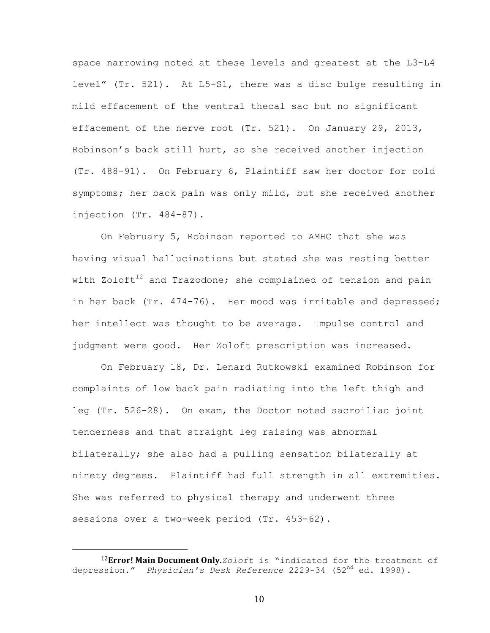space narrowing noted at these levels and greatest at the L3-L4 level" (Tr. 521). At L5-S1, there was a disc bulge resulting in mild effacement of the ventral thecal sac but no significant effacement of the nerve root (Tr. 521). On January 29, 2013, Robinson's back still hurt, so she received another injection (Tr. 488-91). On February 6, Plaintiff saw her doctor for cold symptoms; her back pain was only mild, but she received another injection (Tr. 484-87).

On February 5, Robinson reported to AMHC that she was having visual hallucinations but stated she was resting better with Zoloft<sup>12</sup> and Trazodone; she complained of tension and pain in her back (Tr. 474-76). Her mood was irritable and depressed; her intellect was thought to be average. Impulse control and judgment were good. Her Zoloft prescription was increased.

On February 18, Dr. Lenard Rutkowski examined Robinson for complaints of low back pain radiating into the left thigh and leg (Tr. 526-28). On exam, the Doctor noted sacroiliac joint tenderness and that straight leg raising was abnormal bilaterally; she also had a pulling sensation bilaterally at ninety degrees. Plaintiff had full strength in all extremities. She was referred to physical therapy and underwent three sessions over a two-week period (Tr. 453-62).

 

<sup>12</sup>**Error! Main Document Only.** Zoloft is "indicated for the treatment of depression." *Physician's Desk Reference* 2229-34 (52nd ed. 1998).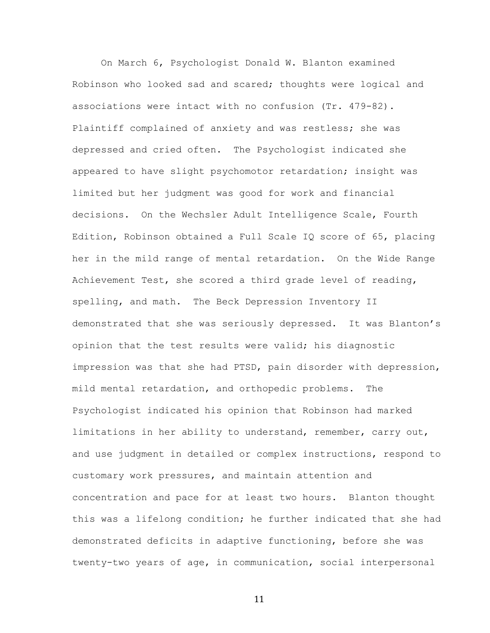On March 6, Psychologist Donald W. Blanton examined Robinson who looked sad and scared; thoughts were logical and associations were intact with no confusion (Tr. 479-82). Plaintiff complained of anxiety and was restless; she was depressed and cried often. The Psychologist indicated she appeared to have slight psychomotor retardation; insight was limited but her judgment was good for work and financial decisions. On the Wechsler Adult Intelligence Scale, Fourth Edition, Robinson obtained a Full Scale IQ score of 65, placing her in the mild range of mental retardation. On the Wide Range Achievement Test, she scored a third grade level of reading, spelling, and math. The Beck Depression Inventory II demonstrated that she was seriously depressed. It was Blanton's opinion that the test results were valid; his diagnostic impression was that she had PTSD, pain disorder with depression, mild mental retardation, and orthopedic problems. The Psychologist indicated his opinion that Robinson had marked limitations in her ability to understand, remember, carry out, and use judgment in detailed or complex instructions, respond to customary work pressures, and maintain attention and concentration and pace for at least two hours. Blanton thought this was a lifelong condition; he further indicated that she had demonstrated deficits in adaptive functioning, before she was twenty-two years of age, in communication, social interpersonal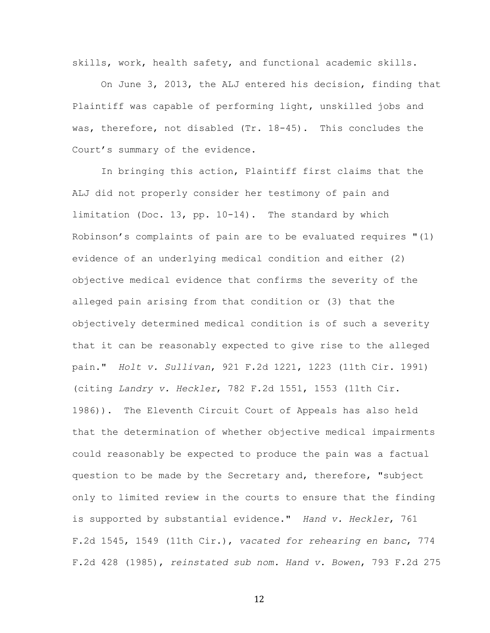skills, work, health safety, and functional academic skills.

On June 3, 2013, the ALJ entered his decision, finding that Plaintiff was capable of performing light, unskilled jobs and was, therefore, not disabled (Tr. 18-45). This concludes the Court's summary of the evidence.

In bringing this action, Plaintiff first claims that the ALJ did not properly consider her testimony of pain and limitation (Doc. 13, pp. 10-14). The standard by which Robinson's complaints of pain are to be evaluated requires "(1) evidence of an underlying medical condition and either (2) objective medical evidence that confirms the severity of the alleged pain arising from that condition or (3) that the objectively determined medical condition is of such a severity that it can be reasonably expected to give rise to the alleged pain." *Holt v. Sullivan*, 921 F.2d 1221, 1223 (11th Cir. 1991) (citing *Landry v. Heckler*, 782 F.2d 1551, 1553 (11th Cir. 1986)). The Eleventh Circuit Court of Appeals has also held that the determination of whether objective medical impairments could reasonably be expected to produce the pain was a factual question to be made by the Secretary and, therefore, "subject only to limited review in the courts to ensure that the finding is supported by substantial evidence." *Hand v. Heckler*, 761 F.2d 1545, 1549 (11th Cir.), *vacated for rehearing en banc*, 774 F.2d 428 (1985), *reinstated sub nom. Hand v. Bowen*, 793 F.2d 275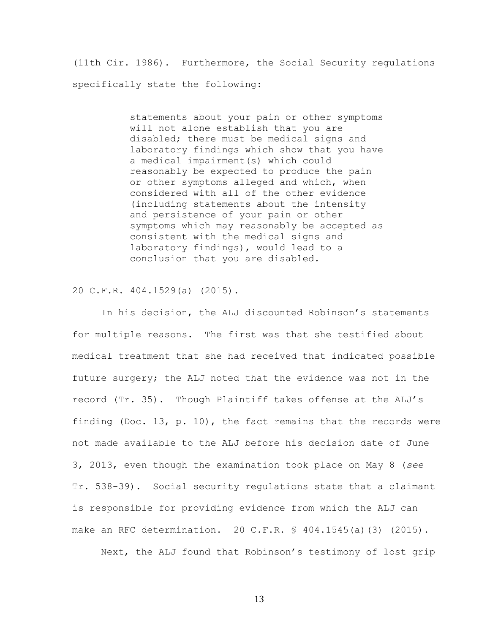(11th Cir. 1986). Furthermore, the Social Security regulations specifically state the following:

> statements about your pain or other symptoms will not alone establish that you are disabled; there must be medical signs and laboratory findings which show that you have a medical impairment(s) which could reasonably be expected to produce the pain or other symptoms alleged and which, when considered with all of the other evidence (including statements about the intensity and persistence of your pain or other symptoms which may reasonably be accepted as consistent with the medical signs and laboratory findings), would lead to a conclusion that you are disabled.

20 C.F.R. 404.1529(a) (2015).

In his decision, the ALJ discounted Robinson's statements for multiple reasons. The first was that she testified about medical treatment that she had received that indicated possible future surgery; the ALJ noted that the evidence was not in the record (Tr. 35). Though Plaintiff takes offense at the ALJ's finding (Doc. 13, p. 10), the fact remains that the records were not made available to the ALJ before his decision date of June 3, 2013, even though the examination took place on May 8 (*see* Tr. 538-39). Social security regulations state that a claimant is responsible for providing evidence from which the ALJ can make an RFC determination. 20 C.F.R. § 404.1545(a)(3) (2015).

Next, the ALJ found that Robinson's testimony of lost grip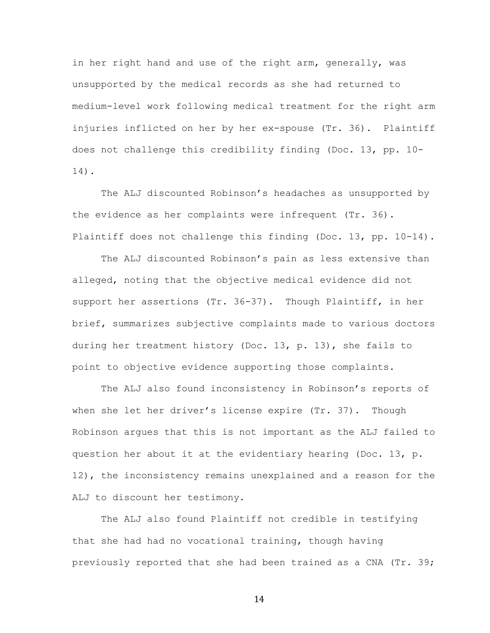in her right hand and use of the right arm, generally, was unsupported by the medical records as she had returned to medium-level work following medical treatment for the right arm injuries inflicted on her by her ex-spouse (Tr. 36). Plaintiff does not challenge this credibility finding (Doc. 13, pp. 10- 14).

The ALJ discounted Robinson's headaches as unsupported by the evidence as her complaints were infrequent (Tr. 36). Plaintiff does not challenge this finding (Doc. 13, pp. 10-14).

The ALJ discounted Robinson's pain as less extensive than alleged, noting that the objective medical evidence did not support her assertions (Tr. 36-37). Though Plaintiff, in her brief, summarizes subjective complaints made to various doctors during her treatment history (Doc. 13, p. 13), she fails to point to objective evidence supporting those complaints.

The ALJ also found inconsistency in Robinson's reports of when she let her driver's license expire (Tr. 37). Though Robinson argues that this is not important as the ALJ failed to question her about it at the evidentiary hearing (Doc. 13, p. 12), the inconsistency remains unexplained and a reason for the ALJ to discount her testimony.

The ALJ also found Plaintiff not credible in testifying that she had had no vocational training, though having previously reported that she had been trained as a CNA (Tr. 39;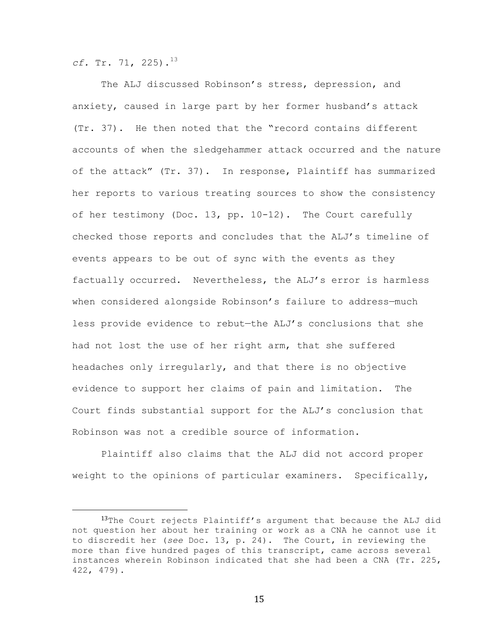$cf.$  Tr. 71, 225).<sup>13</sup>

 

The ALJ discussed Robinson's stress, depression, and anxiety, caused in large part by her former husband's attack (Tr. 37). He then noted that the "record contains different accounts of when the sledgehammer attack occurred and the nature of the attack" (Tr. 37). In response, Plaintiff has summarized her reports to various treating sources to show the consistency of her testimony (Doc. 13, pp. 10-12). The Court carefully checked those reports and concludes that the ALJ's timeline of events appears to be out of sync with the events as they factually occurred. Nevertheless, the ALJ's error is harmless when considered alongside Robinson's failure to address—much less provide evidence to rebut—the ALJ's conclusions that she had not lost the use of her right arm, that she suffered headaches only irregularly, and that there is no objective evidence to support her claims of pain and limitation. The Court finds substantial support for the ALJ's conclusion that Robinson was not a credible source of information.

Plaintiff also claims that the ALJ did not accord proper weight to the opinions of particular examiners. Specifically,

<sup>13</sup>The Court rejects Plaintiff's argument that because the ALJ did not question her about her training or work as a CNA he cannot use it to discredit her (*see* Doc. 13, p. 24). The Court, in reviewing the more than five hundred pages of this transcript, came across several instances wherein Robinson indicated that she had been a CNA (Tr. 225, 422, 479).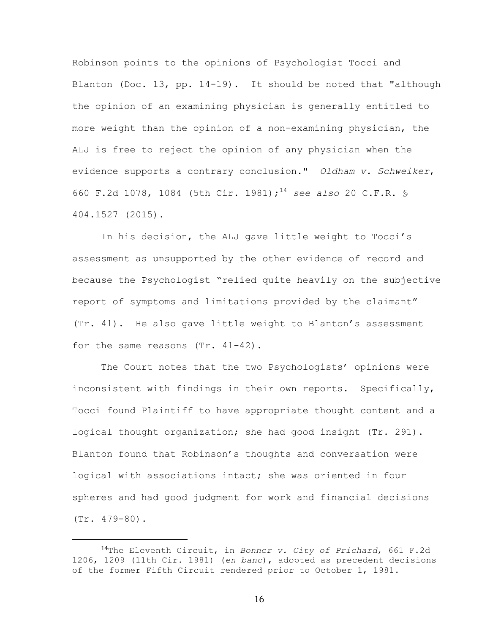Robinson points to the opinions of Psychologist Tocci and Blanton (Doc. 13, pp.  $14-19$ ). It should be noted that "although the opinion of an examining physician is generally entitled to more weight than the opinion of a non-examining physician, the ALJ is free to reject the opinion of any physician when the evidence supports a contrary conclusion." *Oldham v. Schweiker*, 660 F.2d 1078, 1084 (5th Cir. 1981);14 *see also* 20 C.F.R. § 404.1527 (2015).

In his decision, the ALJ gave little weight to Tocci's assessment as unsupported by the other evidence of record and because the Psychologist "relied quite heavily on the subjective report of symptoms and limitations provided by the claimant" (Tr. 41). He also gave little weight to Blanton's assessment for the same reasons (Tr. 41-42).

The Court notes that the two Psychologists' opinions were inconsistent with findings in their own reports. Specifically, Tocci found Plaintiff to have appropriate thought content and a logical thought organization; she had good insight (Tr. 291). Blanton found that Robinson's thoughts and conversation were logical with associations intact; she was oriented in four spheres and had good judgment for work and financial decisions (Tr. 479-80).

 

 <sup>14</sup>The Eleventh Circuit, in *Bonner v. City of Prichard*, 661 F.2d 1206, 1209 (11th Cir. 1981) (*en banc*), adopted as precedent decisions of the former Fifth Circuit rendered prior to October 1, 1981.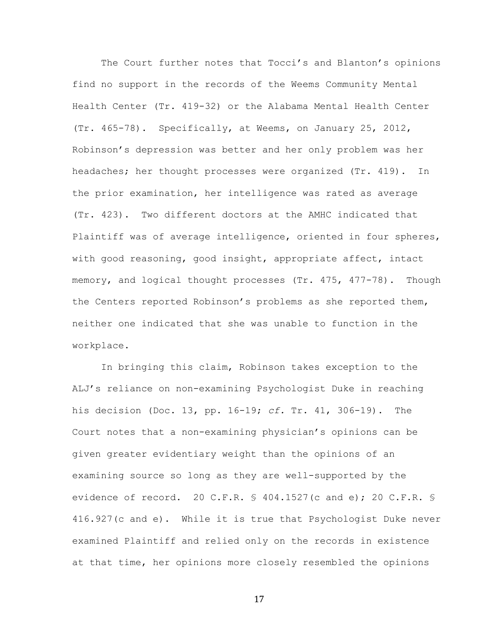The Court further notes that Tocci's and Blanton's opinions find no support in the records of the Weems Community Mental Health Center (Tr. 419-32) or the Alabama Mental Health Center (Tr. 465-78). Specifically, at Weems, on January 25, 2012, Robinson's depression was better and her only problem was her headaches; her thought processes were organized (Tr. 419). In the prior examination, her intelligence was rated as average (Tr. 423). Two different doctors at the AMHC indicated that Plaintiff was of average intelligence, oriented in four spheres, with good reasoning, good insight, appropriate affect, intact memory, and logical thought processes (Tr. 475, 477-78). Though the Centers reported Robinson's problems as she reported them, neither one indicated that she was unable to function in the workplace.

In bringing this claim, Robinson takes exception to the ALJ's reliance on non-examining Psychologist Duke in reaching his decision (Doc. 13, pp. 16-19; *cf.* Tr. 41, 306-19). The Court notes that a non-examining physician's opinions can be given greater evidentiary weight than the opinions of an examining source so long as they are well-supported by the evidence of record. 20 C.F.R. § 404.1527(c and e); 20 C.F.R. § 416.927(c and e). While it is true that Psychologist Duke never examined Plaintiff and relied only on the records in existence at that time, her opinions more closely resembled the opinions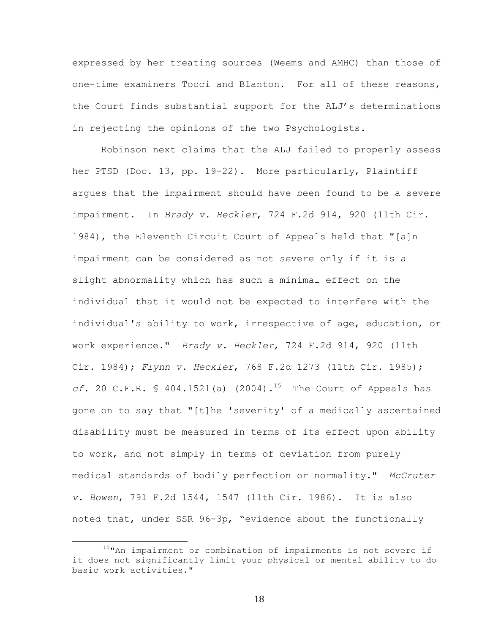expressed by her treating sources (Weems and AMHC) than those of one-time examiners Tocci and Blanton. For all of these reasons, the Court finds substantial support for the ALJ's determinations in rejecting the opinions of the two Psychologists.

Robinson next claims that the ALJ failed to properly assess her PTSD (Doc. 13, pp. 19-22). More particularly, Plaintiff argues that the impairment should have been found to be a severe impairment. In *Brady v. Heckler*, 724 F.2d 914, 920 (11th Cir. 1984), the Eleventh Circuit Court of Appeals held that "[a]n impairment can be considered as not severe only if it is a slight abnormality which has such a minimal effect on the individual that it would not be expected to interfere with the individual's ability to work, irrespective of age, education, or work experience." *Brady v. Heckler*, 724 F.2d 914, 920 (11th Cir. 1984); *Flynn v. Heckler*, 768 F.2d 1273 (11th Cir. 1985); *cf.* 20 C.F.R. § 404.1521(a)  $(2004)$ .<sup>15</sup> The Court of Appeals has gone on to say that "[t]he 'severity' of a medically ascertained disability must be measured in terms of its effect upon ability to work, and not simply in terms of deviation from purely medical standards of bodily perfection or normality." *McCruter v. Bowen*, 791 F.2d 1544, 1547 (11th Cir. 1986). It is also noted that, under SSR 96-3p, "evidence about the functionally

<sup>15&</sup>quot;An impairment or combination of impairments is not severe if it does not significantly limit your physical or mental ability to do basic work activities."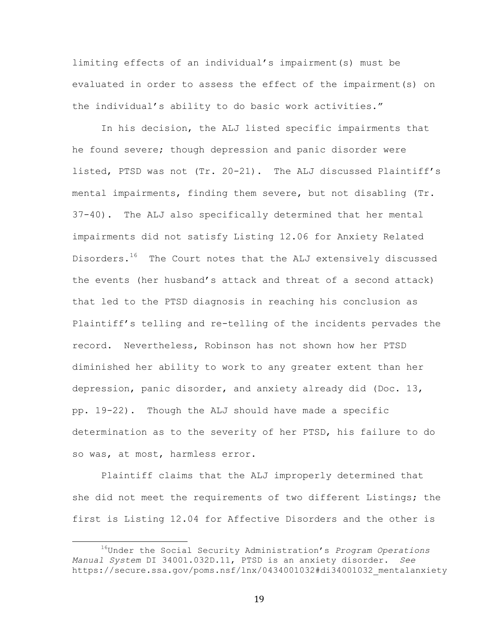limiting effects of an individual's impairment(s) must be evaluated in order to assess the effect of the impairment(s) on the individual's ability to do basic work activities."

In his decision, the ALJ listed specific impairments that he found severe; though depression and panic disorder were listed, PTSD was not (Tr. 20-21). The ALJ discussed Plaintiff's mental impairments, finding them severe, but not disabling (Tr. 37-40). The ALJ also specifically determined that her mental impairments did not satisfy Listing 12.06 for Anxiety Related Disorders.<sup>16</sup> The Court notes that the ALJ extensively discussed the events (her husband's attack and threat of a second attack) that led to the PTSD diagnosis in reaching his conclusion as Plaintiff's telling and re-telling of the incidents pervades the record. Nevertheless, Robinson has not shown how her PTSD diminished her ability to work to any greater extent than her depression, panic disorder, and anxiety already did (Doc. 13, pp. 19-22). Though the ALJ should have made a specific determination as to the severity of her PTSD, his failure to do so was, at most, harmless error.

Plaintiff claims that the ALJ improperly determined that she did not meet the requirements of two different Listings; the first is Listing 12.04 for Affective Disorders and the other is

 16Under the Social Security Administration's *Program Operations Manual System* DI 34001.032D.11, PTSD is an anxiety disorder. *See* https://secure.ssa.gov/poms.nsf/lnx/0434001032#di34001032\_mentalanxiety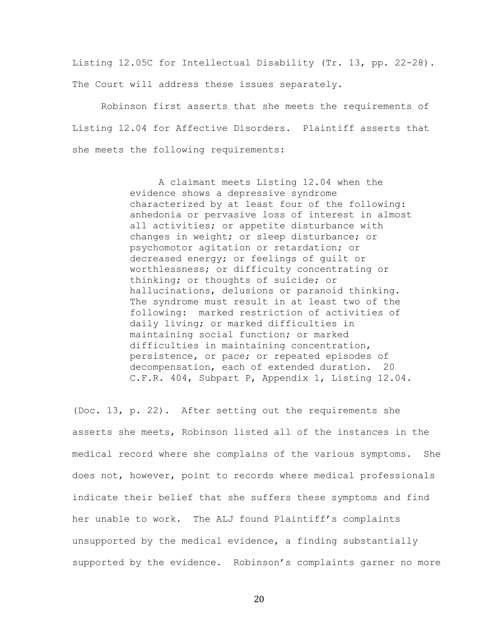Listing 12.05C for Intellectual Disability (Tr. 13, pp. 22-28). The Court will address these issues separately.

Robinson first asserts that she meets the requirements of Listing 12.04 for Affective Disorders. Plaintiff asserts that she meets the following requirements:

> A claimant meets Listing 12.04 when the evidence shows a depressive syndrome characterized by at least four of the following: anhedonia or pervasive loss of interest in almost all activities; or appetite disturbance with changes in weight; or sleep disturbance; or psychomotor agitation or retardation; or decreased energy; or feelings of guilt or worthlessness; or difficulty concentrating or thinking; or thoughts of suicide; or hallucinations, delusions or paranoid thinking. The syndrome must result in at least two of the following: marked restriction of activities of daily living; or marked difficulties in maintaining social function; or marked difficulties in maintaining concentration, persistence, or pace; or repeated episodes of decompensation, each of extended duration. 20 C.F.R. 404, Subpart P, Appendix 1, Listing 12.04.

(Doc. 13, p. 22). After setting out the requirements she asserts she meets, Robinson listed all of the instances in the medical record where she complains of the various symptoms. She does not, however, point to records where medical professionals indicate their belief that she suffers these symptoms and find her unable to work. The ALJ found Plaintiff's complaints unsupported by the medical evidence, a finding substantially supported by the evidence. Robinson's complaints garner no more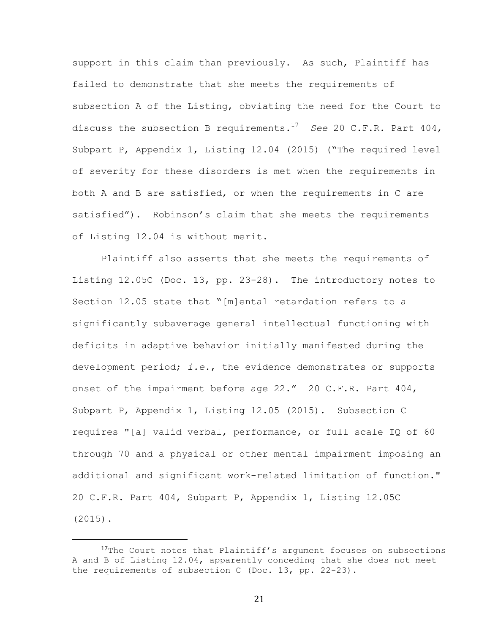support in this claim than previously. As such, Plaintiff has failed to demonstrate that she meets the requirements of subsection A of the Listing, obviating the need for the Court to discuss the subsection B requirements.17 *See* 20 C.F.R. Part 404, Subpart P, Appendix 1, Listing 12.04 (2015) ("The required level of severity for these disorders is met when the requirements in both A and B are satisfied, or when the requirements in C are satisfied"). Robinson's claim that she meets the requirements of Listing 12.04 is without merit.

Plaintiff also asserts that she meets the requirements of Listing 12.05C (Doc. 13, pp. 23-28). The introductory notes to Section 12.05 state that "[m]ental retardation refers to a significantly subaverage general intellectual functioning with deficits in adaptive behavior initially manifested during the development period; *i.e.*, the evidence demonstrates or supports onset of the impairment before age 22." 20 C.F.R. Part 404, Subpart P, Appendix 1, Listing 12.05 (2015). Subsection C requires "[a] valid verbal, performance, or full scale IQ of 60 through 70 and a physical or other mental impairment imposing an additional and significant work-related limitation of function." 20 C.F.R. Part 404, Subpart P, Appendix 1, Listing 12.05C (2015).

 

<sup>17</sup>The Court notes that Plaintiff's argument focuses on subsections A and B of Listing 12.04, apparently conceding that she does not meet the requirements of subsection C (Doc. 13, pp. 22-23).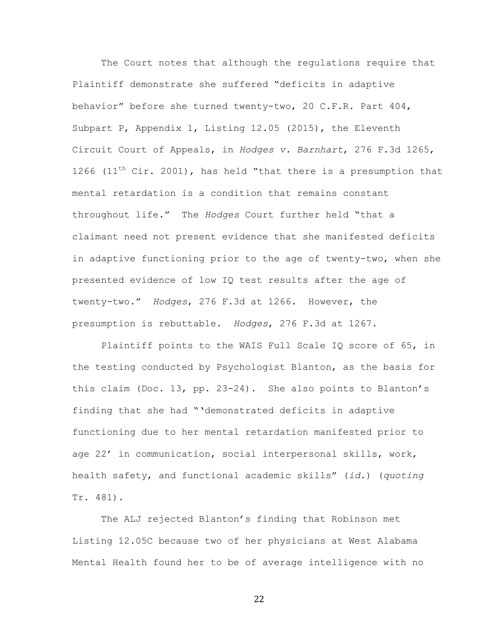The Court notes that although the regulations require that Plaintiff demonstrate she suffered "deficits in adaptive behavior" before she turned twenty-two, 20 C.F.R. Part 404, Subpart P, Appendix 1, Listing 12.05 (2015), the Eleventh Circuit Court of Appeals, in *Hodges v. Barnhart*, 276 F.3d 1265, 1266 (11<sup>th</sup> Cir. 2001), has held "that there is a presumption that mental retardation is a condition that remains constant throughout life." The *Hodges* Court further held "that a claimant need not present evidence that she manifested deficits in adaptive functioning prior to the age of twenty-two, when she presented evidence of low IQ test results after the age of twenty-two." *Hodges*, 276 F.3d at 1266. However, the presumption is rebuttable. *Hodges*, 276 F.3d at 1267.

Plaintiff points to the WAIS Full Scale IQ score of 65, in the testing conducted by Psychologist Blanton, as the basis for this claim (Doc. 13, pp. 23-24). She also points to Blanton's finding that she had "'demonstrated deficits in adaptive functioning due to her mental retardation manifested prior to age 22' in communication, social interpersonal skills, work, health safety, and functional academic skills" (*id.*) (*quoting* Tr. 481).

The ALJ rejected Blanton's finding that Robinson met Listing 12.05C because two of her physicians at West Alabama Mental Health found her to be of average intelligence with no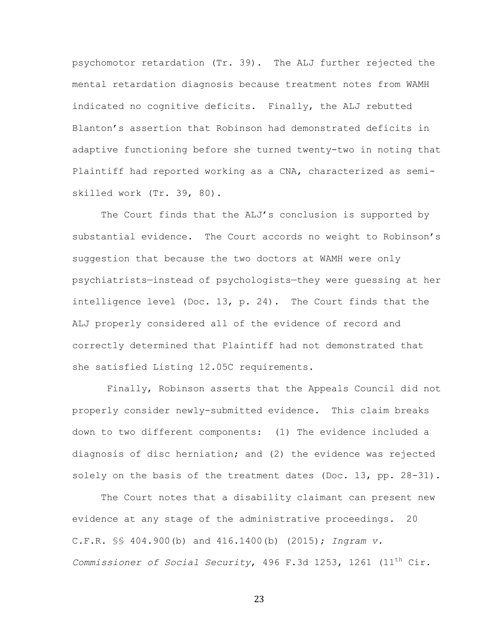psychomotor retardation (Tr. 39). The ALJ further rejected the mental retardation diagnosis because treatment notes from WAMH indicated no cognitive deficits. Finally, the ALJ rebutted Blanton's assertion that Robinson had demonstrated deficits in adaptive functioning before she turned twenty-two in noting that Plaintiff had reported working as a CNA, characterized as semiskilled work (Tr. 39, 80).

The Court finds that the ALJ's conclusion is supported by substantial evidence. The Court accords no weight to Robinson's suggestion that because the two doctors at WAMH were only psychiatrists—instead of psychologists—they were guessing at her intelligence level (Doc. 13, p. 24). The Court finds that the ALJ properly considered all of the evidence of record and correctly determined that Plaintiff had not demonstrated that she satisfied Listing 12.05C requirements.

Finally, Robinson asserts that the Appeals Council did not properly consider newly-submitted evidence. This claim breaks down to two different components: (1) The evidence included a diagnosis of disc herniation; and (2) the evidence was rejected solely on the basis of the treatment dates (Doc. 13, pp. 28-31).

The Court notes that a disability claimant can present new evidence at any stage of the administrative proceedings. 20 C.F.R. §§ 404.900(b) and 416.1400(b) (2015); *Ingram v. Commissioner of Social Security*, 496 F.3d 1253, 1261 (11th Cir.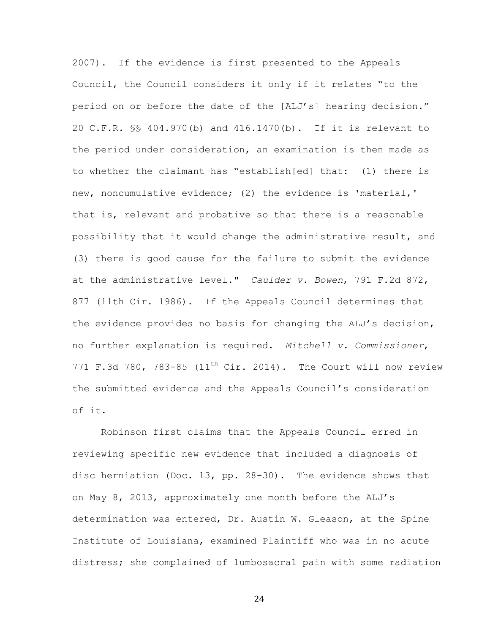2007). If the evidence is first presented to the Appeals Council, the Council considers it only if it relates "to the period on or before the date of the [ALJ's] hearing decision." 20 C.F.R. §§ 404.970(b) and 416.1470(b). If it is relevant to the period under consideration, an examination is then made as to whether the claimant has "establish[ed] that: (1) there is new, noncumulative evidence; (2) the evidence is 'material,' that is, relevant and probative so that there is a reasonable possibility that it would change the administrative result, and (3) there is good cause for the failure to submit the evidence at the administrative level." *Caulder v. Bowen*, 791 F.2d 872, 877 (11th Cir. 1986). If the Appeals Council determines that the evidence provides no basis for changing the ALJ's decision, no further explanation is required. *Mitchell v. Commissioner*, 771 F.3d 780, 783-85 (11<sup>th</sup> Cir. 2014). The Court will now review the submitted evidence and the Appeals Council's consideration of it.

Robinson first claims that the Appeals Council erred in reviewing specific new evidence that included a diagnosis of disc herniation (Doc. 13, pp. 28-30). The evidence shows that on May 8, 2013, approximately one month before the ALJ's determination was entered, Dr. Austin W. Gleason, at the Spine Institute of Louisiana, examined Plaintiff who was in no acute distress; she complained of lumbosacral pain with some radiation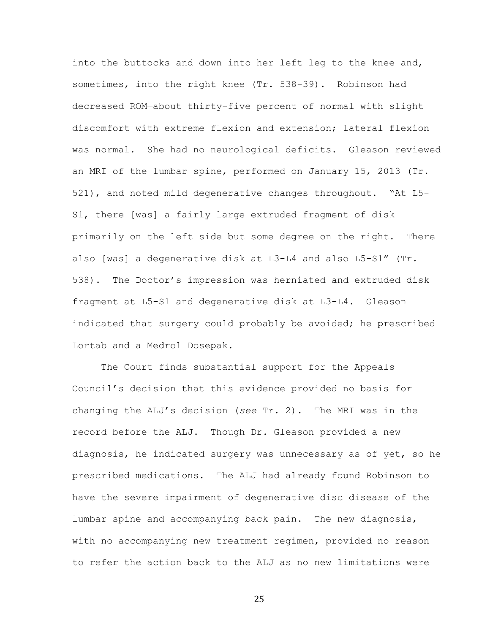into the buttocks and down into her left leg to the knee and, sometimes, into the right knee (Tr. 538-39). Robinson had decreased ROM—about thirty-five percent of normal with slight discomfort with extreme flexion and extension; lateral flexion was normal. She had no neurological deficits. Gleason reviewed an MRI of the lumbar spine, performed on January 15, 2013 (Tr. 521), and noted mild degenerative changes throughout. "At L5- S1, there [was] a fairly large extruded fragment of disk primarily on the left side but some degree on the right. There also [was] a degenerative disk at L3-L4 and also L5-S1" (Tr. 538). The Doctor's impression was herniated and extruded disk fragment at L5-S1 and degenerative disk at L3-L4. Gleason indicated that surgery could probably be avoided; he prescribed Lortab and a Medrol Dosepak.

The Court finds substantial support for the Appeals Council's decision that this evidence provided no basis for changing the ALJ's decision (*see* Tr. 2). The MRI was in the record before the ALJ. Though Dr. Gleason provided a new diagnosis, he indicated surgery was unnecessary as of yet, so he prescribed medications. The ALJ had already found Robinson to have the severe impairment of degenerative disc disease of the lumbar spine and accompanying back pain. The new diagnosis, with no accompanying new treatment regimen, provided no reason to refer the action back to the ALJ as no new limitations were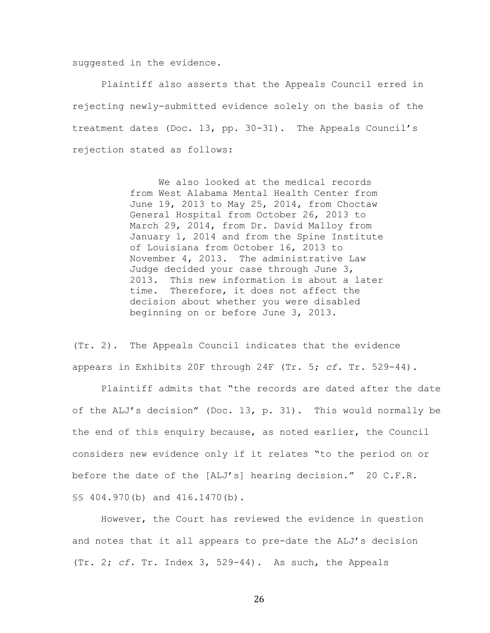suggested in the evidence.

Plaintiff also asserts that the Appeals Council erred in rejecting newly-submitted evidence solely on the basis of the treatment dates (Doc. 13, pp. 30-31). The Appeals Council's rejection stated as follows:

> We also looked at the medical records from West Alabama Mental Health Center from June 19, 2013 to May 25, 2014, from Choctaw General Hospital from October 26, 2013 to March 29, 2014, from Dr. David Malloy from January 1, 2014 and from the Spine Institute of Louisiana from October 16, 2013 to November 4, 2013. The administrative Law Judge decided your case through June 3, 2013. This new information is about a later time. Therefore, it does not affect the decision about whether you were disabled beginning on or before June 3, 2013.

(Tr. 2). The Appeals Council indicates that the evidence appears in Exhibits 20F through 24F (Tr. 5; *cf.* Tr. 529-44).

Plaintiff admits that "the records are dated after the date of the ALJ's decision" (Doc. 13, p. 31). This would normally be the end of this enquiry because, as noted earlier, the Council considers new evidence only if it relates "to the period on or before the date of the [ALJ's] hearing decision." 20 C.F.R. §§ 404.970(b) and 416.1470(b).

However, the Court has reviewed the evidence in question and notes that it all appears to pre-date the ALJ's decision (Tr. 2; *cf.* Tr. Index 3, 529-44). As such, the Appeals